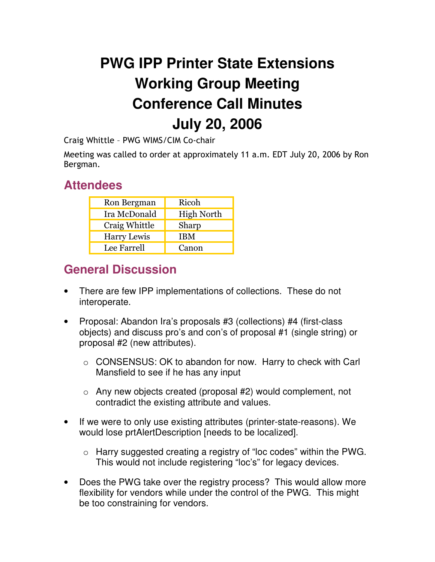## **PWG IPP Printer State Extensions Working Group Meeting Conference Call Minutes July 20, 2006**

Craig Whittle - PWG WIMS/CIM Co-chair

Meeting was called to order at approximately 11 a.m. EDT July 20, 2006 by Ron Bergman.

## **Attendees**

| Ron Bergman        | Ricoh             |
|--------------------|-------------------|
| Ira McDonald       | <b>High North</b> |
| Craig Whittle      | Sharp             |
| <b>Harry Lewis</b> | <b>IBM</b>        |
| Lee Farrell        | Canon             |

## **General Discussion**

- There are few IPP implementations of collections. These do not interoperate.
- Proposal: Abandon Ira's proposals #3 (collections) #4 (first-class objects) and discuss pro's and con's of proposal #1 (single string) or proposal #2 (new attributes).
	- o CONSENSUS: OK to abandon for now. Harry to check with Carl Mansfield to see if he has any input
	- $\circ$  Any new objects created (proposal #2) would complement, not contradict the existing attribute and values.
- If we were to only use existing attributes (printer-state-reasons). We would lose prtAlertDescription [needs to be localized].
	- o Harry suggested creating a registry of "loc codes" within the PWG. This would not include registering "loc's" for legacy devices.
- Does the PWG take over the registry process? This would allow more flexibility for vendors while under the control of the PWG. This might be too constraining for vendors.